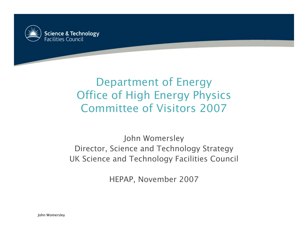

#### Department of Energy Office of High Energy Physics Committee of Visitors 2007

John Womersley Director, Science and Technology Strategy UK Science and Technology Facilities Council

HEPAP, November 2007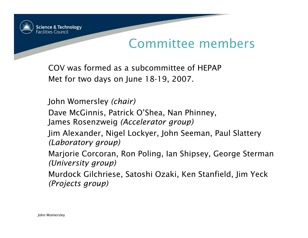

#### Committee members

COV was formed as a subcommittee of HEPAP Met for two days on June 18-19, 2007.

John Womersley *(chair)*

Dave McGinnis, Patrick O'Shea, Nan Phinney, James Rosenzweig *(Accelerator group)*

Jim Alexander, Nigel Lockyer, John Seeman, Paul Slattery *(Laboratory group)*

Marjorie Corcoran, Ron Poling, Ian Shipsey, George Sterman *(University group)*

Murdock Gilchriese, Satoshi Ozaki, Ken Stanfield, Jim Yeck *(Projects group)*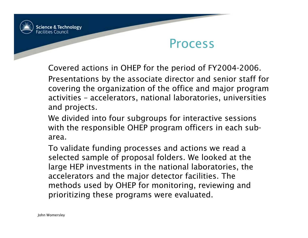

#### Process

Covered actions in OHEP for the period of FY2004-2006.

Presentations by the associate director and senior staff for covering the organization of the office and major program activities – accelerators, national laboratories, universities and projects.

We divided into four subgroups for interactive sessions with the responsible OHEP program officers in each subarea.

To validate funding processes and actions we read a selected sample of proposal folders. We looked at the large HEP investments in the national laboratories, the accelerators and the major detector facilities. The methods used by OHEP for monitoring, reviewing and prioritizing these programs were evaluated.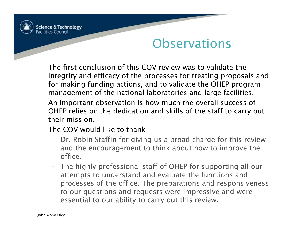

#### **Observations**

The first conclusion of this COV review was to validate the integrity and efficacy of the processes for treating proposals and for making funding actions, and to validate the OHEP program management of the national laboratories and large facilities.

An important observation is how much the overall success of OHEP relies on the dedication and skills of the staff to carry out their mission.

The COV would like to thank

- Dr. Robin Staffin for giving us a broad charge for this review and the encouragement to think about how to improve the office.
- The highly professional staff of OHEP for supporting all our attempts to understand and evaluate the functions and processes of the office. The preparations and responsiveness to our questions and requests were impressive and were essential to our ability to carry out this review.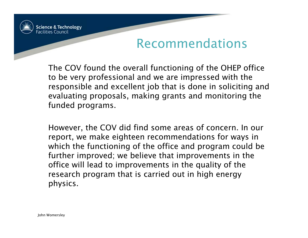

The COV found the overall functioning of the OHEP office to be very professional and we are impressed with the responsible and excellent job that is done in soliciting and evaluating proposals, making grants and monitoring the funded programs.

However, the COV did find some areas of concern. In our report, we make eighteen recommendations for ways in which the functioning of the office and program could be further improved; we believe that improvements in the office will lead to improvements in the quality of the research program that is carried out in high energy physics.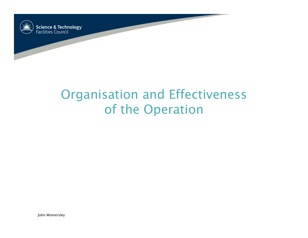

# Organisation and Effectiveness of the Operation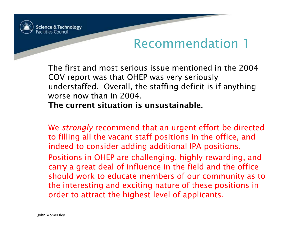

The first and most serious issue mentioned in the 2004 COV report was that OHEP was very seriously understaffed. Overall, the staffing deficit is if anything worse now than in 2004.

#### The current situation is unsustainable.

We *strongly* recommend that an urgent effort be directed to filling all the vacant staff positions in the office, and indeed to consider adding additional IPA positions.

Positions in OHEP are challenging, highly rewarding, and carry a great deal of influence in the field and the office should work to educate members of our community as to the interesting and exciting nature of these positions in order to attract the highest level of applicants.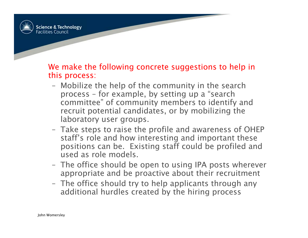

We make the following concrete suggestions to help in this process:

- Mobilize the help of the community in the search process – for example, by setting up a "search committee" of community members to identify and recruit potential candidates, or by mobilizing the laboratory user groups.
- Take steps to raise the profile and awareness of OHEP staff's role and how interesting and important these positions can be. Existing staff could be profiled and used as role models.
- The office should be open to using IPA posts wherever appropriate and be proactive about their recruitment
- The office should try to help applicants through any additional hurdles created by the hiring process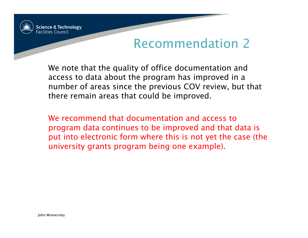

We note that the quality of office documentation and access to data about the program has improved in a number of areas since the previous COV review, but that there remain areas that could be improved.

We recommend that documentation and access to program data continues to be improved and that data is put into electronic form where this is not yet the case (the university grants program being one example).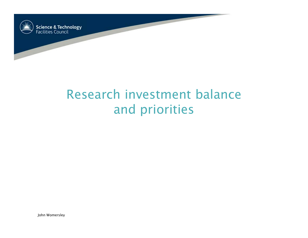

# Research investment balance and priorities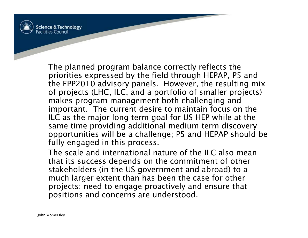

The planned program balance correctly reflects the priorities expressed by the field through HEPAP, P5 and the EPP2010 advisory panels. However, the resulting mix of projects (LHC, ILC, and a portfolio of smaller projects) makes program management both challenging and important. The current desire to maintain focus on the ILC as the major long term goal for US HEP while at the same time providing additional medium term discovery opportunities will be a challenge; P5 and HEPAP should be fully engaged in this process.

The scale and international nature of the ILC also mean that its success depends on the commitment of other stakeholders (in the US government and abroad) to a much larger extent than has been the case for other projects; need to engage proactively and ensure that positions and concerns are understood.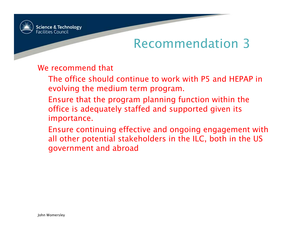

#### We recommend that

- The office should continue to work with P5 and HEPAP in evolving the medium term program.
- Ensure that the program planning function within the office is adequately staffed and supported given its importance.
- Ensure continuing effective and ongoing engagement with all other potential stakeholders in the ILC, both in the US government and abroad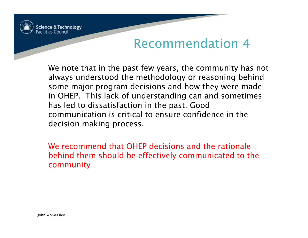

We note that in the past few years, the community has not always understood the methodology or reasoning behind some major program decisions and how they were made in OHEP. This lack of understanding can and sometimes has led to dissatisfaction in the past. Good communication is critical to ensure confidence in the decision making process.

We recommend that OHEP decisions and the rationale behind them should be effectively communicated to the community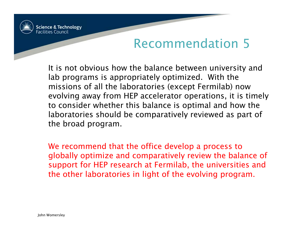

It is not obvious how the balance between university and lab programs is appropriately optimized. With the missions of all the laboratories (except Fermilab) now evolving away from HEP accelerator operations, it is timely to consider whether this balance is optimal and how the laboratories should be comparatively reviewed as part of the broad program.

We recommend that the office develop a process to globally optimize and comparatively review the balance of support for HEP research at Fermilab, the universities and the other laboratories in light of the evolving program.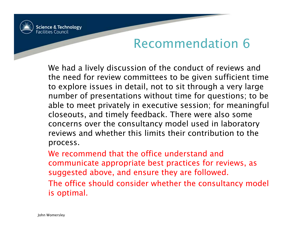

We had a lively discussion of the conduct of reviews and the need for review committees to be given sufficient time to explore issues in detail, not to sit through a very large number of presentations without time for questions; to be able to meet privately in executive session; for meaningful closeouts, and timely feedback. There were also some concerns over the consultancy model used in laboratory reviews and whether this limits their contribution to the process.

We recommend that the office understand and communicate appropriate best practices for reviews, as suggested above, and ensure they are followed. The office should consider whether the consultancy model is optimal.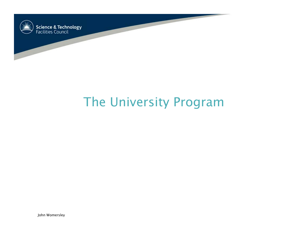

# The University Program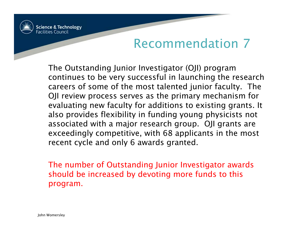

The Outstanding Junior Investigator (OJI) program continues to be very successful in launching the research careers of some of the most talented junior faculty. The OJI review process serves as the primary mechanism for evaluating new faculty for additions to existing grants. It also provides flexibility in funding young physicists not associated with a major research group. OJI grants are exceedingly competitive, with 68 applicants in the most recent cycle and only 6 awards granted.

The number of Outstanding Junior Investigator awards should be increased by devoting more funds to this program.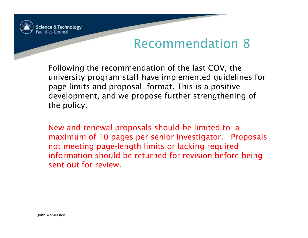

Following the recommendation of the last COV, the university program staff have implemented guidelines for page limits and proposal format. This is a positive development, and we propose further strengthening of the policy.

New and renewal proposals should be limited to a maximum of 10 pages per senior investigator. Proposals not meeting page-length limits or lacking required information should be returned for revision before being sent out for review.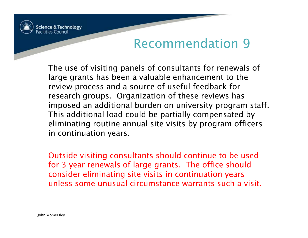

The use of visiting panels of consultants for renewals of large grants has been a valuable enhancement to the review process and a source of useful feedback for research groups. Organization of these reviews has imposed an additional burden on university program staff. This additional load could be partially compensated by eliminating routine annual site visits by program officers in continuation years.

Outside visiting consultants should continue to be used for 3-year renewals of large grants. The office should consider eliminating site visits in continuation years unless some unusual circumstance warrants such a visit.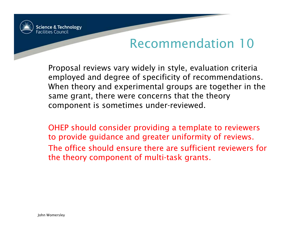

Proposal reviews vary widely in style, evaluation criteria employed and degree of specificity of recommendations. When theory and experimental groups are together in the same grant, there were concerns that the theory component is sometimes under-reviewed.

OHEP should consider providing a template to reviewers to provide guidance and greater uniformity of reviews. The office should ensure there are sufficient reviewers for the theory component of multi-task grants.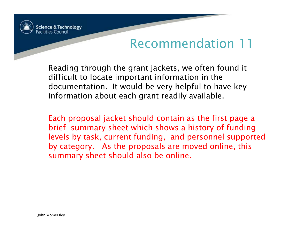

Reading through the grant jackets, we often found it difficult to locate important information in the documentation. It would be very helpful to have key information about each grant readily available.

Each proposal jacket should contain as the first page a brief summary sheet which shows a history of funding levels by task, current funding, and personnel supported by category. As the proposals are moved online, this summary sheet should also be online.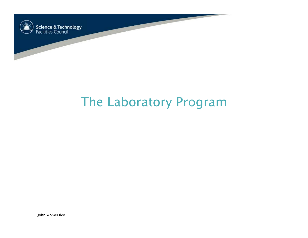

## The Laboratory Program

John Womersley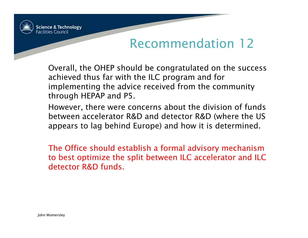

Overall, the OHEP should be congratulated on the success achieved thus far with the ILC program and for implementing the advice received from the community through HEPAP and P5.

However, there were concerns about the division of funds between accelerator R&D and detector R&D (where the US appears to lag behind Europe) and how it is determined.

The Office should establish a formal advisory mechanism to best optimize the split between ILC accelerator and ILC detector R&D funds.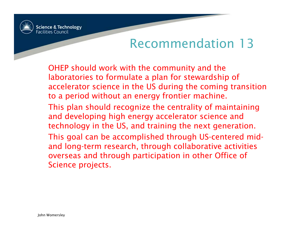

OHEP should work with the community and the laboratories to formulate a plan for stewardship of accelerator science in the US during the coming transition to a period without an energy frontier machine. This plan should recognize the centrality of maintaining and developing high energy accelerator science and technology in the US, and training the next generation. This goal can be accomplished through US-centered midand long-term research, through collaborative activities overseas and through participation in other Office of Science projects.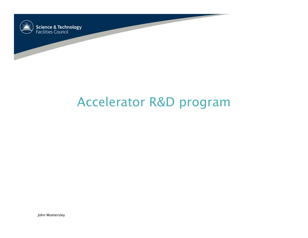

## Accelerator R&D program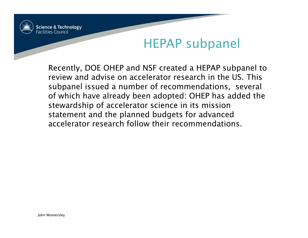

#### HEPAP subpanel

Recently, DOE OHEP and NSF created a HEPAP subpanel to review and advise on accelerator research in the US. This subpanel issued a number of recommendations, several of which have already been adopted: OHEP has added the stewardship of accelerator science in its mission statement and the planned budgets for advanced accelerator research follow their recommendations.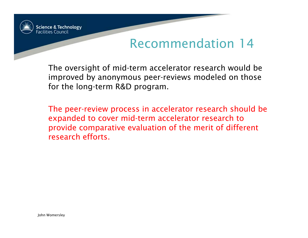

The oversight of mid-term accelerator research would be improved by anonymous peer-reviews modeled on those for the long-term R&D program.

The peer-review process in accelerator research should be expanded to cover mid-term accelerator research to provide comparative evaluation of the merit of different research efforts.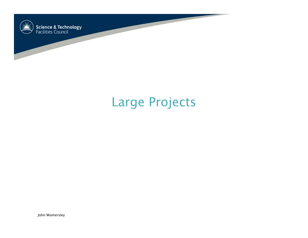

## Large Projects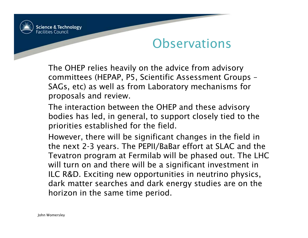

#### **Observations**

The OHEP relies heavily on the advice from advisory committees (HEPAP, P5, Scientific Assessment Groups – SAGs, etc) as well as from Laboratory mechanisms for proposals and review.

The interaction between the OHEP and these advisory bodies has led, in general, to support closely tied to the priorities established for the field.

However, there will be significant changes in the field in the next 2-3 years. The PEPII/BaBar effort at SLAC and the Tevatron program at Fermilab will be phased out. The LHC will turn on and there will be a significant investment in ILC R&D. Exciting new opportunities in neutrino physics, dark matter searches and dark energy studies are on the horizon in the same time period.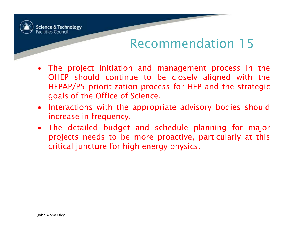

- The project initiation and management process in the OHEP should continue to be closely aligned with the HEPAP/P5 prioritization process for HEP and the strategic goals of the Office of Science.
- Interactions with the appropriate advisory bodies should increase in frequency.
- The detailed budget and schedule planning for major projects needs to be more proactive, particularly at this critical juncture for high energy physics.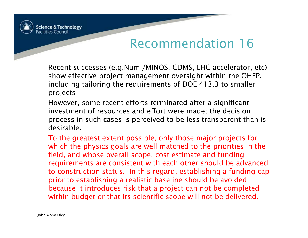

Recent successes (e.g.Numi/MINOS, CDMS, LHC accelerator, etc) show effective project management oversight within the OHEP, including tailoring the requirements of DOE 413.3 to smaller projects

However, some recent efforts terminated after a significant investment of resources and effort were made; the decision process in such cases is perceived to be less transparent than is desirable.

To the greatest extent possible, only those major projects for which the physics goals are well matched to the priorities in the field, and whose overall scope, cost estimate and funding requirements are consistent with each other should be advanced to construction status. In this regard, establishing a funding cap prior to establishing a realistic baseline should be avoided because it introduces risk that a project can not be completed within budget or that its scientific scope will not be delivered.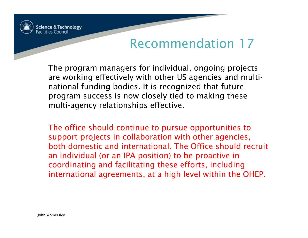

The program managers for individual, ongoing projects are working effectively with other US agencies and multinational funding bodies. It is recognized that future program success is now closely tied to making these multi-agency relationships effective.

The office should continue to pursue opportunities to support projects in collaboration with other agencies, both domestic and international. The Office should recruit an individual (or an IPA position) to be proactive in coordinating and facilitating these efforts, including international agreements, at a high level within the OHEP.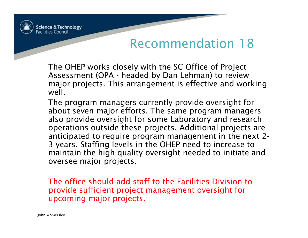

The OHEP works closely with the SC Office of Project Assessment (OPA - headed by Dan Lehman) to review major projects. This arrangement is effective and working well.

The program managers currently provide oversight for about seven major efforts. The same program managers also provide oversight for some Laboratory and research operations outside these projects. Additional projects are anticipated to require program management in the next 2- 3 years. Staffing levels in the OHEP need to increase to maintain the high quality oversight needed to initiate and oversee major projects.

The office should add staff to the Facilities Division to provide sufficient project management oversight for upcoming major projects.